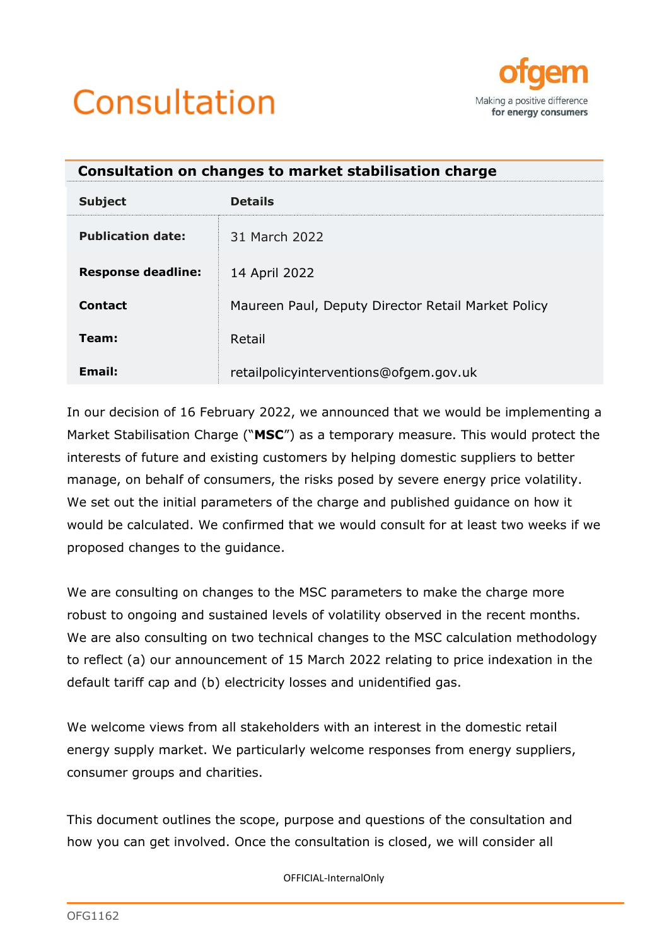



<span id="page-0-0"></span>

| Consultation on changes to market stabilisation charge |                                                    |  |  |
|--------------------------------------------------------|----------------------------------------------------|--|--|
| <b>Subject</b>                                         | <b>Details</b>                                     |  |  |
| <b>Publication date:</b>                               | 31 March 2022                                      |  |  |
| <b>Response deadline:</b>                              | 14 April 2022                                      |  |  |
| Contact                                                | Maureen Paul, Deputy Director Retail Market Policy |  |  |
| Team:                                                  | Retail                                             |  |  |
| Email:                                                 | retailpolicyinterventions@ofgem.gov.uk             |  |  |

In our decision of 16 February 2022, we announced that we would be implementing a Market Stabilisation Charge ("**MSC**") as a temporary measure. This would protect the interests of future and existing customers by helping domestic suppliers to better manage, on behalf of consumers, the risks posed by severe energy price volatility. We set out the initial parameters of the charge and published guidance on how it would be calculated. We confirmed that we would consult for at least two weeks if we proposed changes to the guidance.

We are consulting on changes to the MSC parameters to make the charge more robust to ongoing and sustained levels of volatility observed in the recent months. We are also consulting on two technical changes to the MSC calculation methodology to reflect (a) our announcement of 15 March 2022 relating to price indexation in the default tariff cap and (b) electricity losses and unidentified gas.

We welcome views from all stakeholders with an interest in the domestic retail energy supply market. We particularly welcome responses from energy suppliers, consumer groups and charities.

This document outlines the scope, purpose and questions of the consultation and how you can get involved. Once the consultation is closed, we will consider all

OFFICIAL-InternalOnly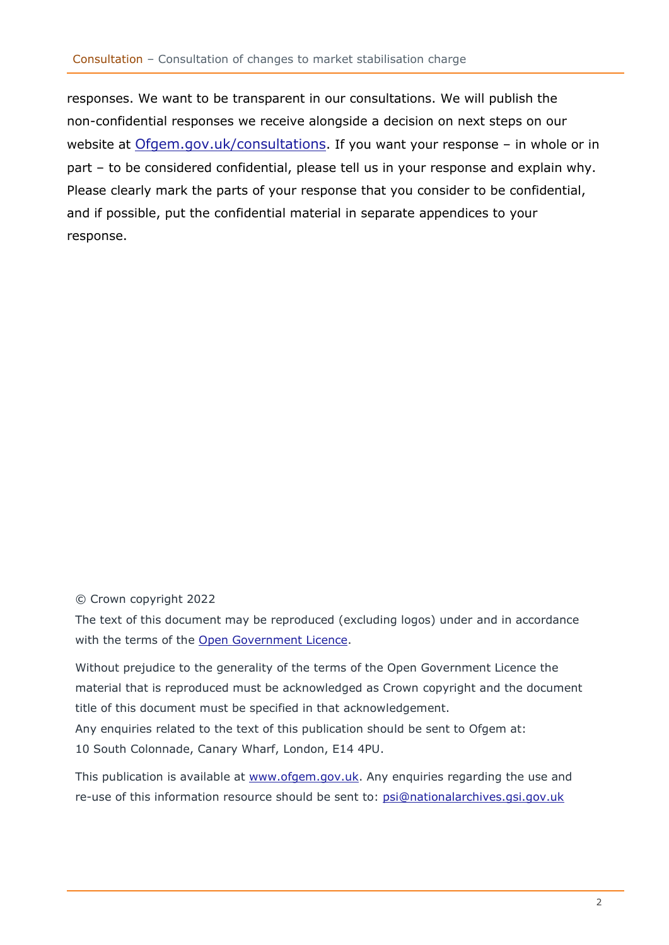responses. We want to be transparent in our consultations. We will publish the non-confidential responses we receive alongside a decision on next steps on our website at [Ofgem.gov.uk/consultations](https://www.ofgem.gov.uk/consultations). If you want your response – in whole or in part – to be considered confidential, please tell us in your response and explain why. Please clearly mark the parts of your response that you consider to be confidential, and if possible, put the confidential material in separate appendices to your response.

#### © Crown copyright 2022

The text of this document may be reproduced (excluding logos) under and in accordance with the terms of the [Open Government Licence.](http://www.nationalarchives.gov.uk/doc/open-government-licence/version/3/)

Without prejudice to the generality of the terms of the Open Government Licence the material that is reproduced must be acknowledged as Crown copyright and the document title of this document must be specified in that acknowledgement.

Any enquiries related to the text of this publication should be sent to Ofgem at: 10 South Colonnade, Canary Wharf, London, E14 4PU.

This publication is available at [www.ofgem.gov.uk.](http://www.ofgem.gov.uk/) Any enquiries regarding the use and re-use of this information resource should be sent to: [psi@nationalarchives.gsi.gov.uk](mailto:psi@nationalarchives.gsi.gov.uk)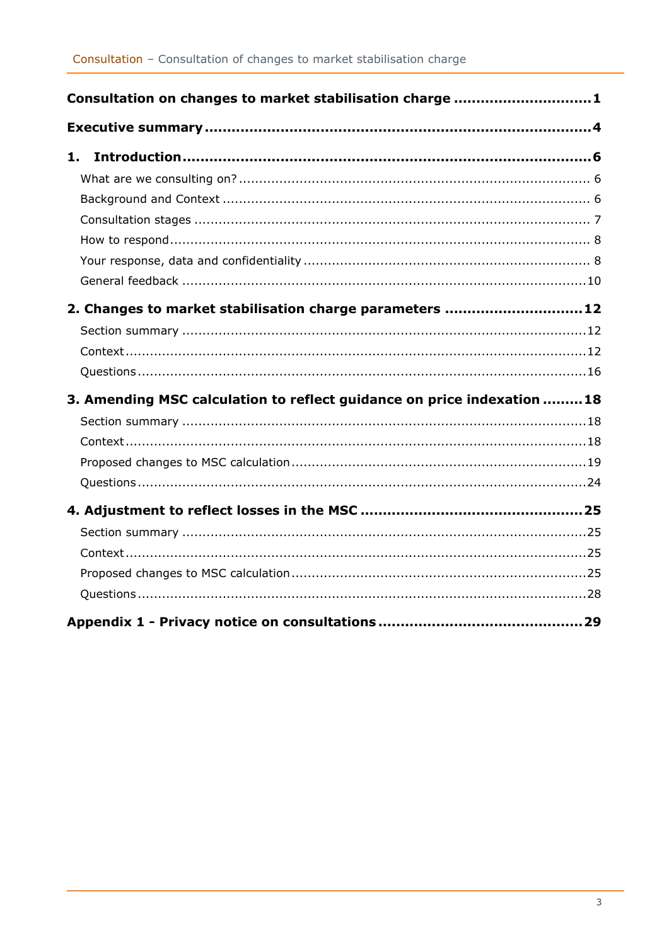| Consultation on changes to market stabilisation charge 1               |  |
|------------------------------------------------------------------------|--|
|                                                                        |  |
| 1.                                                                     |  |
|                                                                        |  |
|                                                                        |  |
|                                                                        |  |
|                                                                        |  |
|                                                                        |  |
|                                                                        |  |
| 2. Changes to market stabilisation charge parameters 12                |  |
|                                                                        |  |
|                                                                        |  |
|                                                                        |  |
| 3. Amending MSC calculation to reflect guidance on price indexation 18 |  |
|                                                                        |  |
|                                                                        |  |
|                                                                        |  |
|                                                                        |  |
|                                                                        |  |
|                                                                        |  |
|                                                                        |  |
|                                                                        |  |
|                                                                        |  |
|                                                                        |  |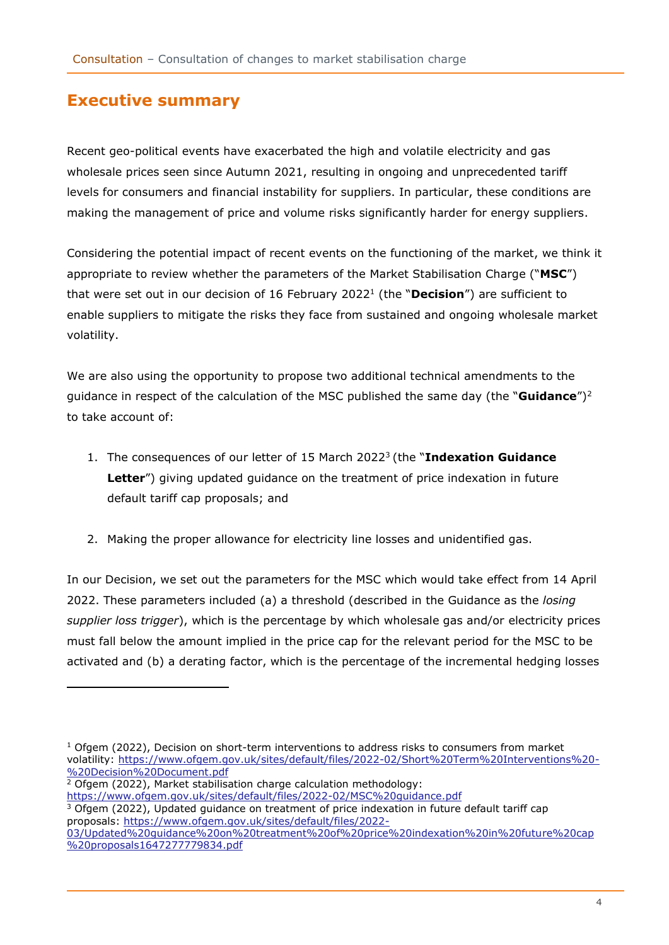## <span id="page-3-0"></span>**Executive summary**

Recent geo-political events have exacerbated the high and volatile electricity and gas wholesale prices seen since Autumn 2021, resulting in ongoing and unprecedented tariff levels for consumers and financial instability for suppliers. In particular, these conditions are making the management of price and volume risks significantly harder for energy suppliers.

Considering the potential impact of recent events on the functioning of the market, we think it appropriate to review whether the parameters of the Market Stabilisation Charge ("**MSC**") that were set out in our decision of 16 February 2022<sup>1</sup> (the "**Decision**") are sufficient to enable suppliers to mitigate the risks they face from sustained and ongoing wholesale market volatility.

We are also using the opportunity to propose two additional technical amendments to the guidance in respect of the calculation of the MSC published the same day (the "**Guidance**")<sup>2</sup> to take account of:

- 1. The consequences of our letter of 15 March 2022<sup>3</sup> (the "Indexation Guidance **Letter**") giving updated guidance on the treatment of price indexation in future default tariff cap proposals; and
- 2. Making the proper allowance for electricity line losses and unidentified gas.

In our Decision, we set out the parameters for the MSC which would take effect from 14 April 2022. These parameters included (a) a threshold (described in the Guidance as the *losing supplier loss trigger*), which is the percentage by which wholesale gas and/or electricity prices must fall below the amount implied in the price cap for the relevant period for the MSC to be activated and (b) a derating factor, which is the percentage of the incremental hedging losses

- $2$  Ofgem (2022), Market stabilisation charge calculation methodology:
- <https://www.ofgem.gov.uk/sites/default/files/2022-02/MSC%20guidance.pdf>

 $3$  Ofgem (2022), Updated guidance on treatment of price indexation in future default tariff cap proposals: [https://www.ofgem.gov.uk/sites/default/files/2022-](https://www.ofgem.gov.uk/sites/default/files/2022-03/Updated%20guidance%20on%20treatment%20of%20price%20indexation%20in%20future%20cap%20proposals1647277779834.pdf)

 $1$  Ofgem (2022), Decision on short-term interventions to address risks to consumers from market volatility: [https://www.ofgem.gov.uk/sites/default/files/2022-02/Short%20Term%20Interventions%20-](https://www.ofgem.gov.uk/sites/default/files/2022-02/Short%20Term%20Interventions%20-%20Decision%20Document.pdf) [%20Decision%20Document.pdf](https://www.ofgem.gov.uk/sites/default/files/2022-02/Short%20Term%20Interventions%20-%20Decision%20Document.pdf)

[<sup>03/</sup>Updated%20guidance%20on%20treatment%20of%20price%20indexation%20in%20future%20cap](https://www.ofgem.gov.uk/sites/default/files/2022-03/Updated%20guidance%20on%20treatment%20of%20price%20indexation%20in%20future%20cap%20proposals1647277779834.pdf) [%20proposals1647277779834.pdf](https://www.ofgem.gov.uk/sites/default/files/2022-03/Updated%20guidance%20on%20treatment%20of%20price%20indexation%20in%20future%20cap%20proposals1647277779834.pdf)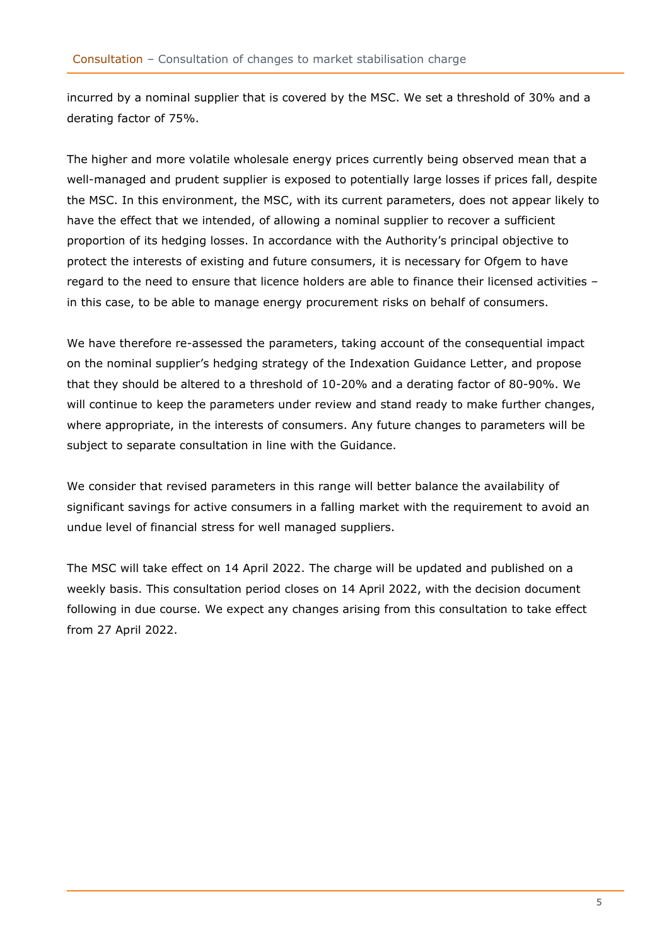incurred by a nominal supplier that is covered by the MSC. We set a threshold of 30% and a derating factor of 75%.

The higher and more volatile wholesale energy prices currently being observed mean that a well-managed and prudent supplier is exposed to potentially large losses if prices fall, despite the MSC. In this environment, the MSC, with its current parameters, does not appear likely to have the effect that we intended, of allowing a nominal supplier to recover a sufficient proportion of its hedging losses. In accordance with the Authority's principal objective to protect the interests of existing and future consumers, it is necessary for Ofgem to have regard to the need to ensure that licence holders are able to finance their licensed activities – in this case, to be able to manage energy procurement risks on behalf of consumers.

We have therefore re-assessed the parameters, taking account of the consequential impact on the nominal supplier's hedging strategy of the Indexation Guidance Letter, and propose that they should be altered to a threshold of 10-20% and a derating factor of 80-90%. We will continue to keep the parameters under review and stand ready to make further changes, where appropriate, in the interests of consumers. Any future changes to parameters will be subject to separate consultation in line with the Guidance.

We consider that revised parameters in this range will better balance the availability of significant savings for active consumers in a falling market with the requirement to avoid an undue level of financial stress for well managed suppliers.

The MSC will take effect on 14 April 2022. The charge will be updated and published on a weekly basis. This consultation period closes on 14 April 2022, with the decision document following in due course. We expect any changes arising from this consultation to take effect from 27 April 2022.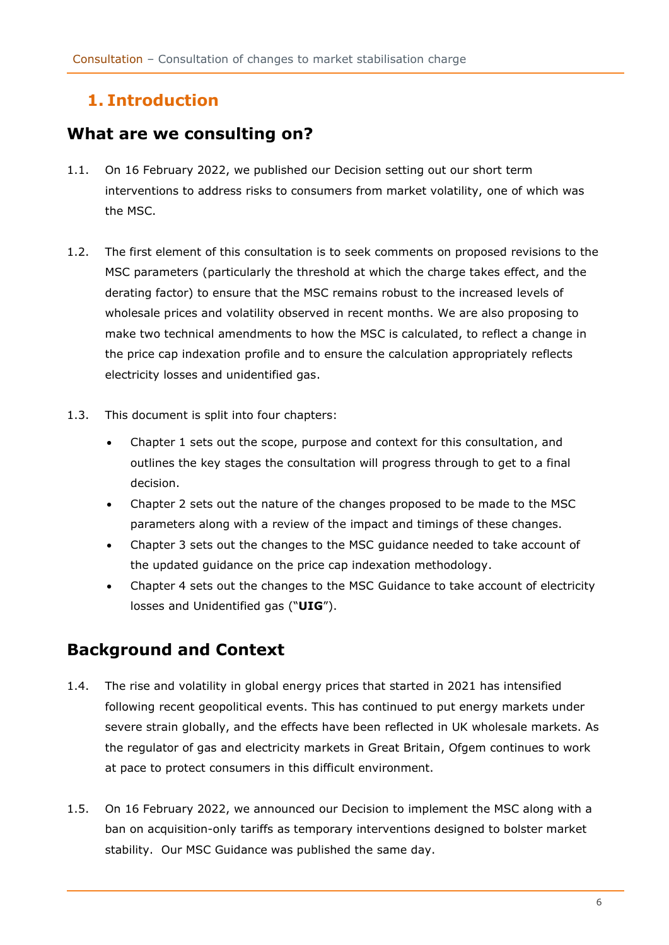# <span id="page-5-0"></span>**1. Introduction**

## <span id="page-5-1"></span>**What are we consulting on?**

- 1.1. On 16 February 2022, we published our Decision setting out our short term interventions to address risks to consumers from market volatility, one of which was the MSC.
- 1.2. The first element of this consultation is to seek comments on proposed revisions to the MSC parameters (particularly the threshold at which the charge takes effect, and the derating factor) to ensure that the MSC remains robust to the increased levels of wholesale prices and volatility observed in recent months. We are also proposing to make two technical amendments to how the MSC is calculated, to reflect a change in the price cap indexation profile and to ensure the calculation appropriately reflects electricity losses and unidentified gas.
- 1.3. This document is split into four chapters:
	- Chapter 1 sets out the scope, purpose and context for this consultation, and outlines the key stages the consultation will progress through to get to a final decision.
	- Chapter 2 sets out the nature of the changes proposed to be made to the MSC parameters along with a review of the impact and timings of these changes.
	- Chapter 3 sets out the changes to the MSC guidance needed to take account of the updated guidance on the price cap indexation methodology.
	- Chapter 4 sets out the changes to the MSC Guidance to take account of electricity losses and Unidentified gas ("**UIG**").

# <span id="page-5-2"></span>**Background and Context**

- 1.4. The rise and volatility in global energy prices that started in 2021 has intensified following recent geopolitical events. This has continued to put energy markets under severe strain globally, and the effects have been reflected in UK wholesale markets. As the regulator of gas and electricity markets in Great Britain, Ofgem continues to work at pace to protect consumers in this difficult environment.
- 1.5. On 16 February 2022, we announced our Decision to implement the MSC along with a ban on acquisition-only tariffs as temporary interventions designed to bolster market stability. Our MSC Guidance was published the same day.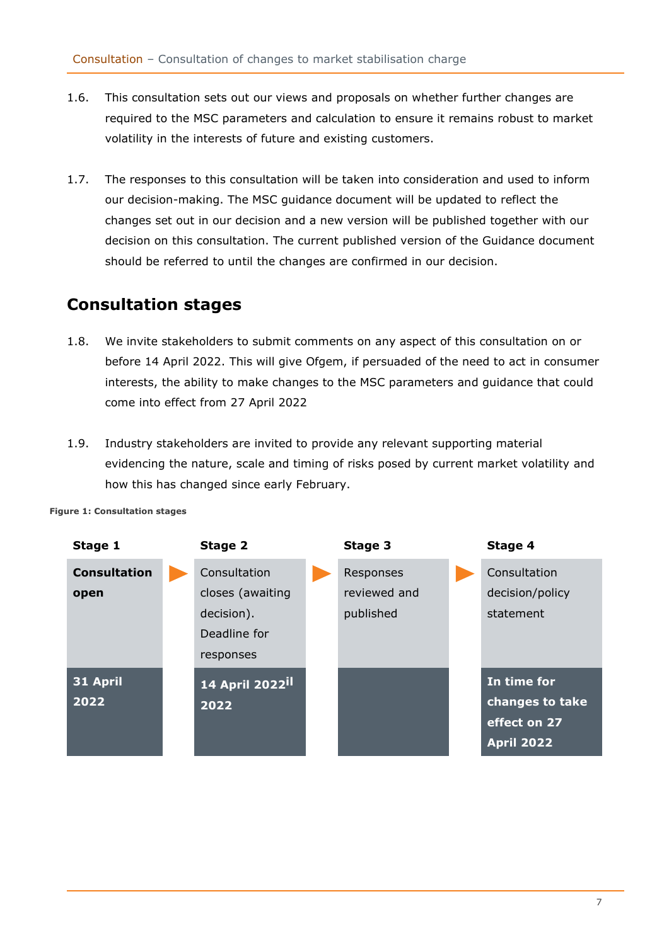- 1.6. This consultation sets out our views and proposals on whether further changes are required to the MSC parameters and calculation to ensure it remains robust to market volatility in the interests of future and existing customers.
- 1.7. The responses to this consultation will be taken into consideration and used to inform our decision-making. The MSC guidance document will be updated to reflect the changes set out in our decision and a new version will be published together with our decision on this consultation. The current published version of the Guidance document should be referred to until the changes are confirmed in our decision.

## <span id="page-6-0"></span>**Consultation stages**

- 1.8. We invite stakeholders to submit comments on any aspect of this consultation on or before 14 April 2022. This will give Ofgem, if persuaded of the need to act in consumer interests, the ability to make changes to the MSC parameters and guidance that could come into effect from 27 April 2022
- 1.9. Industry stakeholders are invited to provide any relevant supporting material evidencing the nature, scale and timing of risks posed by current market volatility and how this has changed since early February.

<span id="page-6-1"></span>

#### **Figure 1: Consultation stages**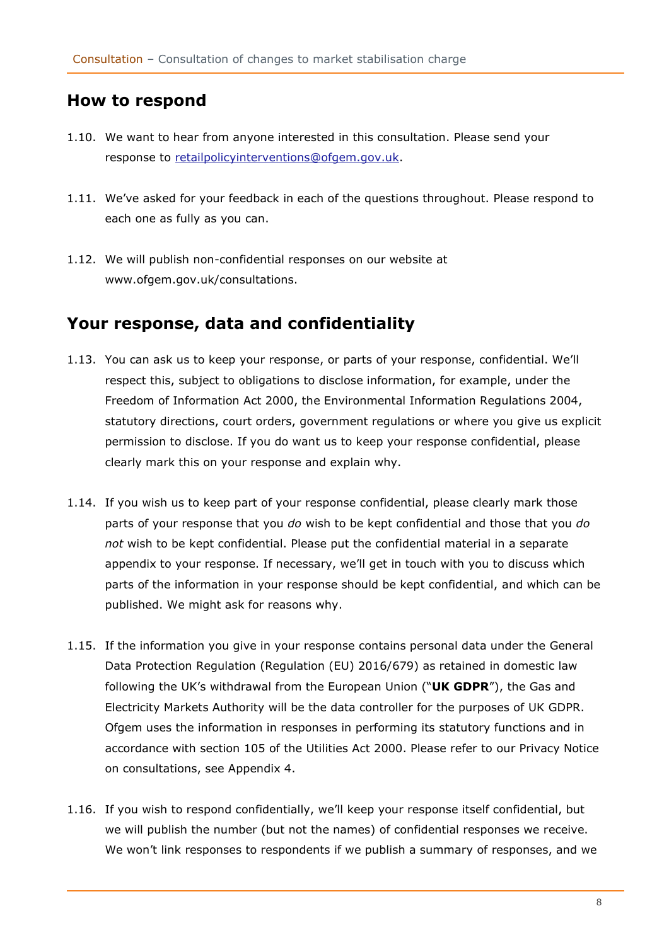## **How to respond**

- 1.10. We want to hear from anyone interested in this consultation. Please send your response to [retailpolicyinterventions@ofgem.gov.uk.](mailto:retailpolicyinterventions@ofgem.gov.uk)
- 1.11. We've asked for your feedback in each of the questions throughout. Please respond to each one as fully as you can.
- 1.12. We will publish non-confidential responses on our website at www.ofgem.gov.uk/consultations.

## <span id="page-7-0"></span>**Your response, data and confidentiality**

- 1.13. You can ask us to keep your response, or parts of your response, confidential. We'll respect this, subject to obligations to disclose information, for example, under the Freedom of Information Act 2000, the Environmental Information Regulations 2004, statutory directions, court orders, government regulations or where you give us explicit permission to disclose. If you do want us to keep your response confidential, please clearly mark this on your response and explain why.
- 1.14. If you wish us to keep part of your response confidential, please clearly mark those parts of your response that you *do* wish to be kept confidential and those that you *do not* wish to be kept confidential. Please put the confidential material in a separate appendix to your response. If necessary, we'll get in touch with you to discuss which parts of the information in your response should be kept confidential, and which can be published. We might ask for reasons why.
- 1.15. If the information you give in your response contains personal data under the General Data Protection Regulation (Regulation (EU) 2016/679) as retained in domestic law following the UK's withdrawal from the European Union ("**UK GDPR**"), the Gas and Electricity Markets Authority will be the data controller for the purposes of UK GDPR. Ofgem uses the information in responses in performing its statutory functions and in accordance with section 105 of the Utilities Act 2000. Please refer to our Privacy Notice on consultations, see Appendix 4.
- 1.16. If you wish to respond confidentially, we'll keep your response itself confidential, but we will publish the number (but not the names) of confidential responses we receive. We won't link responses to respondents if we publish a summary of responses, and we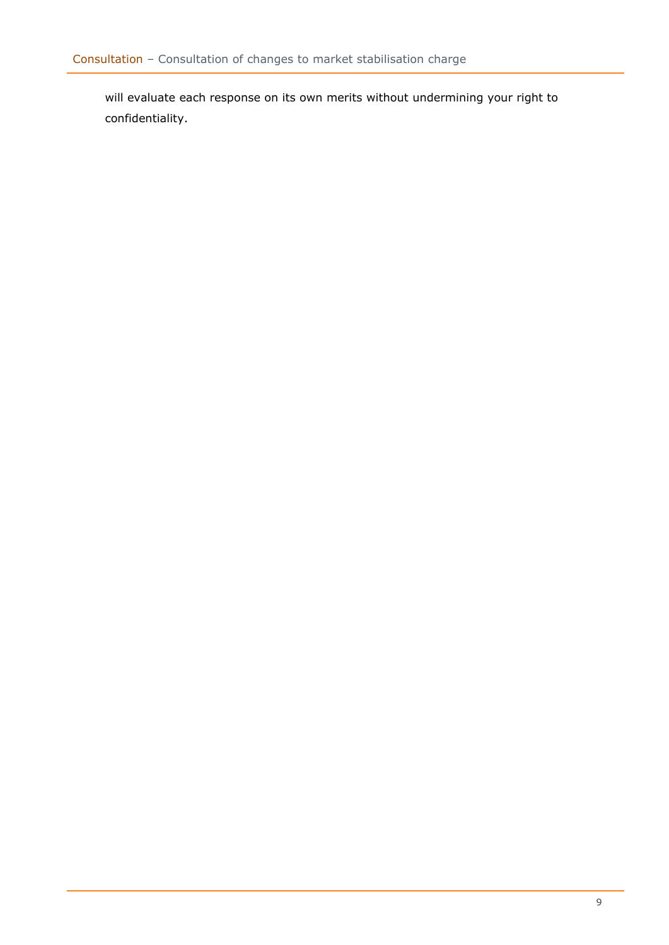will evaluate each response on its own merits without undermining your right to confidentiality.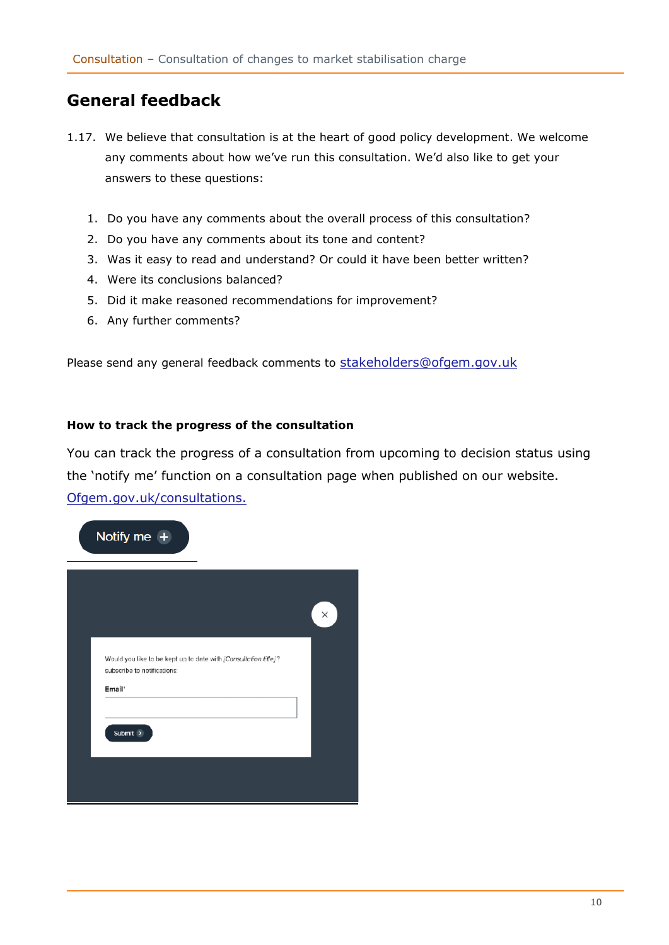## <span id="page-9-0"></span>**General feedback**

- 1.17. We believe that consultation is at the heart of good policy development. We welcome any comments about how we've run this consultation. We'd also like to get your answers to these questions:
	- 1. Do you have any comments about the overall process of this consultation?
	- 2. Do you have any comments about its tone and content?
	- 3. Was it easy to read and understand? Or could it have been better written?
	- 4. Were its conclusions balanced?
	- 5. Did it make reasoned recommendations for improvement?
	- 6. Any further comments?

Please send any general feedback comments to [stakeholders@ofgem.gov.uk](mailto:stakeholders@ofgem.gov.uk)

### **How to track the progress of the consultation**

You can track the progress of a consultation from upcoming to decision status using the 'notify me' function on a consultation page when published on our website. [Ofgem.gov.uk/consultations.](http://www.ofgem.gov.uk/consultations)

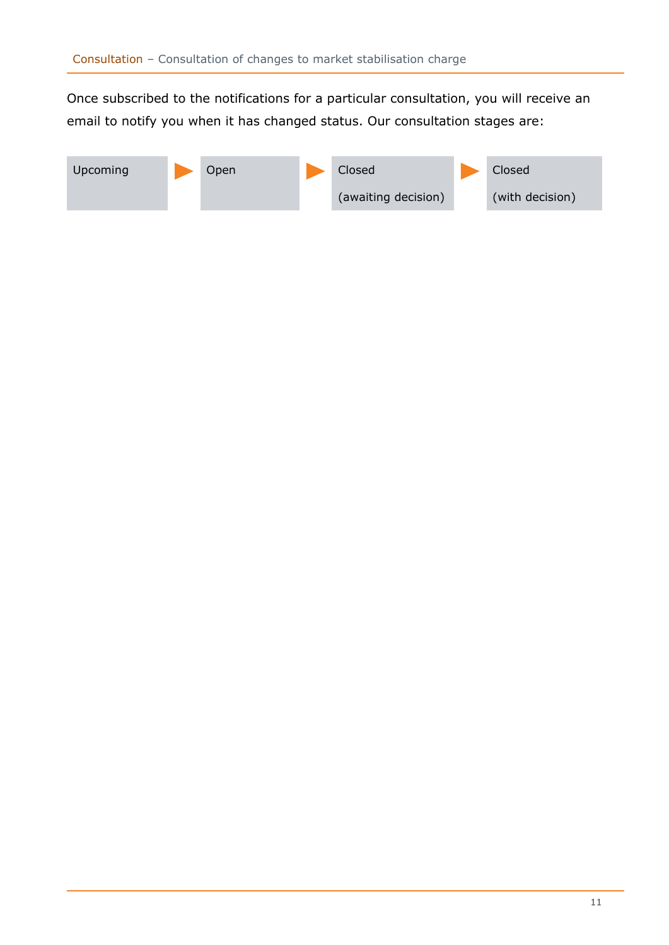Once subscribed to the notifications for a particular consultation, you will receive an email to notify you when it has changed status. Our consultation stages are:

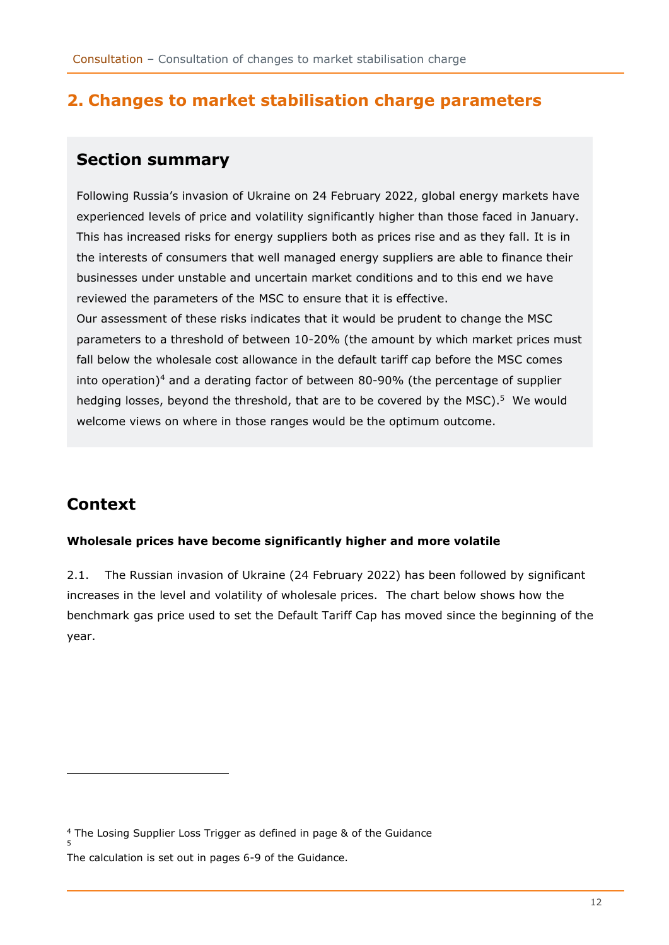## <span id="page-11-0"></span>**2. Changes to market stabilisation charge parameters**

## <span id="page-11-1"></span>**Section summary**

Following Russia's invasion of Ukraine on 24 February 2022, global energy markets have experienced levels of price and volatility significantly higher than those faced in January. This has increased risks for energy suppliers both as prices rise and as they fall. It is in the interests of consumers that well managed energy suppliers are able to finance their businesses under unstable and uncertain market conditions and to this end we have reviewed the parameters of the MSC to ensure that it is effective. Our assessment of these risks indicates that it would be prudent to change the MSC parameters to a threshold of between 10-20% (the amount by which market prices must fall below the wholesale cost allowance in the default tariff cap before the MSC comes into operation) <sup>4</sup> and a derating factor of between 80-90% (the percentage of supplier hedging losses, beyond the threshold, that are to be covered by the MSC).<sup>5</sup> We would welcome views on where in those ranges would be the optimum outcome.

# <span id="page-11-2"></span>**Context**

5

## **Wholesale prices have become significantly higher and more volatile**

2.1. The Russian invasion of Ukraine (24 February 2022) has been followed by significant increases in the level and volatility of wholesale prices. The chart below shows how the benchmark gas price used to set the Default Tariff Cap has moved since the beginning of the year.

<sup>4</sup> The Losing Supplier Loss Trigger as defined in page & of the Guidance

The calculation is set out in pages 6-9 of the Guidance.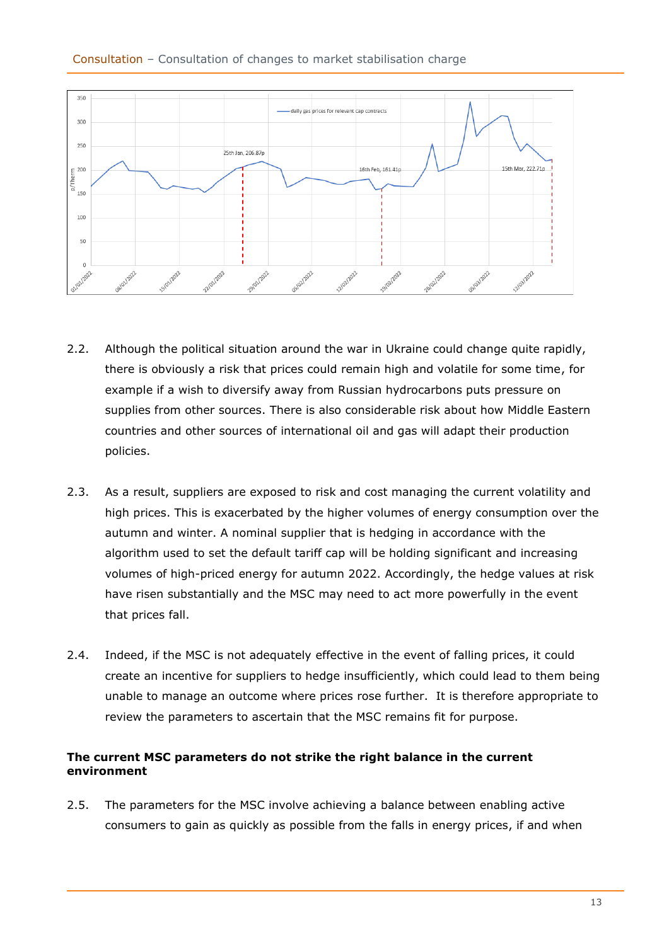

- 2.2. Although the political situation around the war in Ukraine could change quite rapidly, there is obviously a risk that prices could remain high and volatile for some time, for example if a wish to diversify away from Russian hydrocarbons puts pressure on supplies from other sources. There is also considerable risk about how Middle Eastern countries and other sources of international oil and gas will adapt their production policies.
- 2.3. As a result, suppliers are exposed to risk and cost managing the current volatility and high prices. This is exacerbated by the higher volumes of energy consumption over the autumn and winter. A nominal supplier that is hedging in accordance with the algorithm used to set the default tariff cap will be holding significant and increasing volumes of high-priced energy for autumn 2022. Accordingly, the hedge values at risk have risen substantially and the MSC may need to act more powerfully in the event that prices fall.
- 2.4. Indeed, if the MSC is not adequately effective in the event of falling prices, it could create an incentive for suppliers to hedge insufficiently, which could lead to them being unable to manage an outcome where prices rose further. It is therefore appropriate to review the parameters to ascertain that the MSC remains fit for purpose.

## **The current MSC parameters do not strike the right balance in the current environment**

2.5. The parameters for the MSC involve achieving a balance between enabling active consumers to gain as quickly as possible from the falls in energy prices, if and when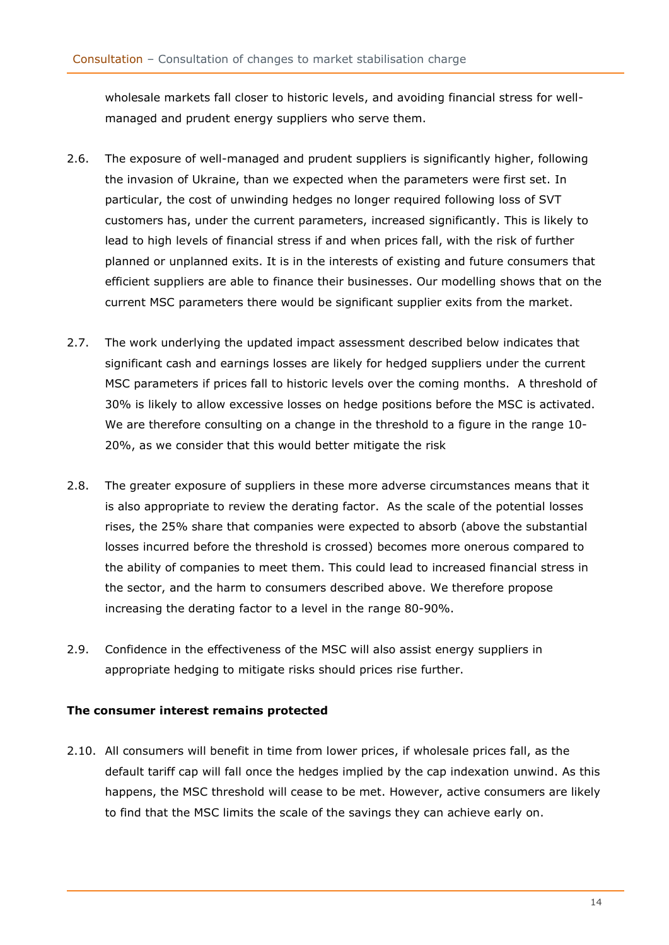wholesale markets fall closer to historic levels, and avoiding financial stress for wellmanaged and prudent energy suppliers who serve them.

- 2.6. The exposure of well-managed and prudent suppliers is significantly higher, following the invasion of Ukraine, than we expected when the parameters were first set. In particular, the cost of unwinding hedges no longer required following loss of SVT customers has, under the current parameters, increased significantly. This is likely to lead to high levels of financial stress if and when prices fall, with the risk of further planned or unplanned exits. It is in the interests of existing and future consumers that efficient suppliers are able to finance their businesses. Our modelling shows that on the current MSC parameters there would be significant supplier exits from the market.
- 2.7. The work underlying the updated impact assessment described below indicates that significant cash and earnings losses are likely for hedged suppliers under the current MSC parameters if prices fall to historic levels over the coming months. A threshold of 30% is likely to allow excessive losses on hedge positions before the MSC is activated. We are therefore consulting on a change in the threshold to a figure in the range 10- 20%, as we consider that this would better mitigate the risk
- 2.8. The greater exposure of suppliers in these more adverse circumstances means that it is also appropriate to review the derating factor. As the scale of the potential losses rises, the 25% share that companies were expected to absorb (above the substantial losses incurred before the threshold is crossed) becomes more onerous compared to the ability of companies to meet them. This could lead to increased financial stress in the sector, and the harm to consumers described above. We therefore propose increasing the derating factor to a level in the range 80-90%.
- 2.9. Confidence in the effectiveness of the MSC will also assist energy suppliers in appropriate hedging to mitigate risks should prices rise further.

## **The consumer interest remains protected**

2.10. All consumers will benefit in time from lower prices, if wholesale prices fall, as the default tariff cap will fall once the hedges implied by the cap indexation unwind. As this happens, the MSC threshold will cease to be met. However, active consumers are likely to find that the MSC limits the scale of the savings they can achieve early on.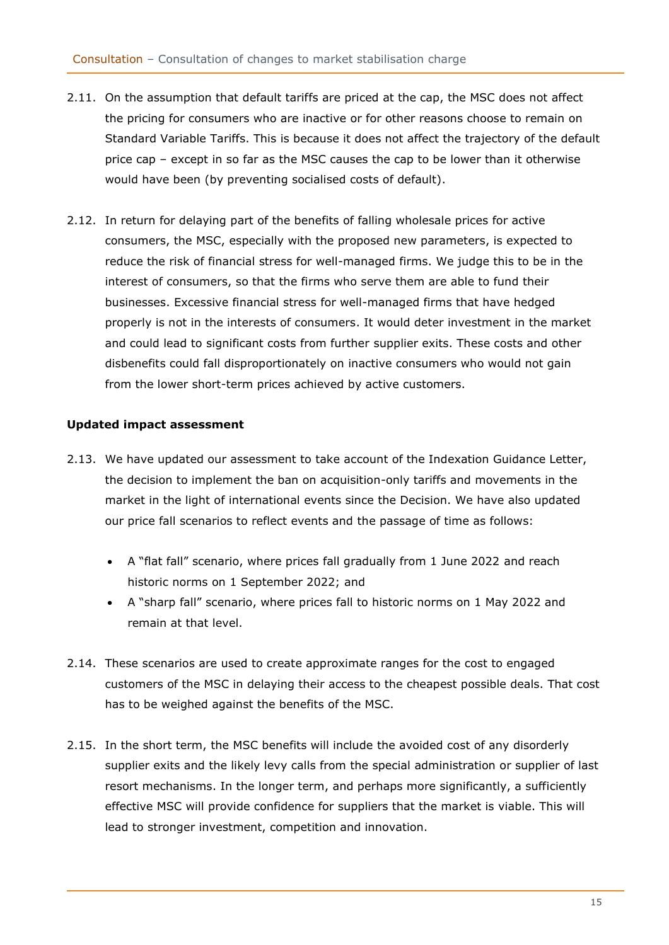- 2.11. On the assumption that default tariffs are priced at the cap, the MSC does not affect the pricing for consumers who are inactive or for other reasons choose to remain on Standard Variable Tariffs. This is because it does not affect the trajectory of the default price cap – except in so far as the MSC causes the cap to be lower than it otherwise would have been (by preventing socialised costs of default).
- 2.12. In return for delaying part of the benefits of falling wholesale prices for active consumers, the MSC, especially with the proposed new parameters, is expected to reduce the risk of financial stress for well-managed firms. We judge this to be in the interest of consumers, so that the firms who serve them are able to fund their businesses. Excessive financial stress for well-managed firms that have hedged properly is not in the interests of consumers. It would deter investment in the market and could lead to significant costs from further supplier exits. These costs and other disbenefits could fall disproportionately on inactive consumers who would not gain from the lower short-term prices achieved by active customers.

## **Updated impact assessment**

- 2.13. We have updated our assessment to take account of the Indexation Guidance Letter, the decision to implement the ban on acquisition-only tariffs and movements in the market in the light of international events since the Decision. We have also updated our price fall scenarios to reflect events and the passage of time as follows:
	- A "flat fall" scenario, where prices fall gradually from 1 June 2022 and reach historic norms on 1 September 2022; and
	- A "sharp fall" scenario, where prices fall to historic norms on 1 May 2022 and remain at that level.
- 2.14. These scenarios are used to create approximate ranges for the cost to engaged customers of the MSC in delaying their access to the cheapest possible deals. That cost has to be weighed against the benefits of the MSC.
- 2.15. In the short term, the MSC benefits will include the avoided cost of any disorderly supplier exits and the likely levy calls from the special administration or supplier of last resort mechanisms. In the longer term, and perhaps more significantly, a sufficiently effective MSC will provide confidence for suppliers that the market is viable. This will lead to stronger investment, competition and innovation.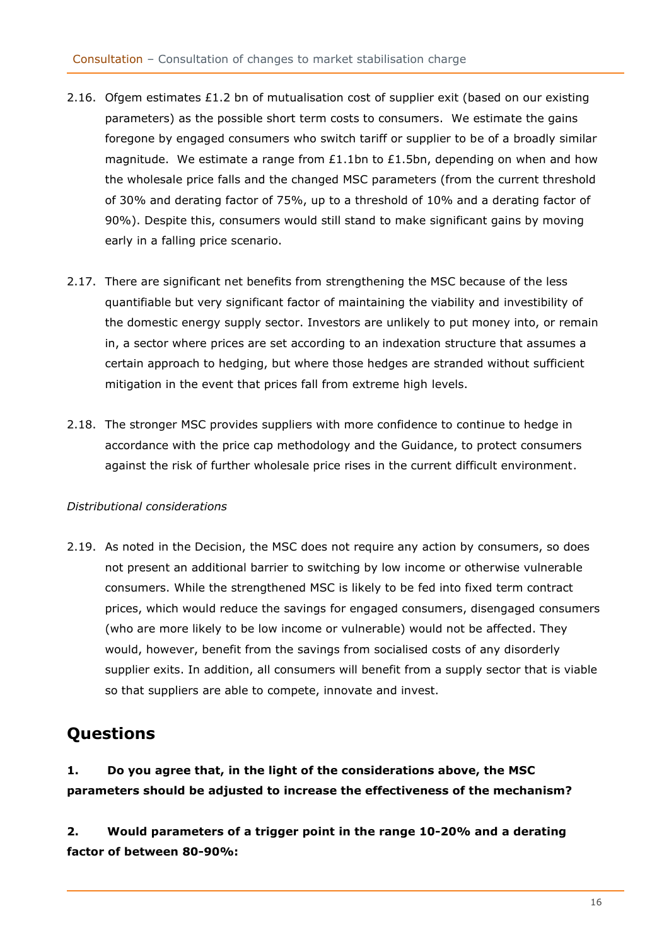- 2.16. Ofgem estimates £1.2 bn of mutualisation cost of supplier exit (based on our existing parameters) as the possible short term costs to consumers. We estimate the gains foregone by engaged consumers who switch tariff or supplier to be of a broadly similar magnitude. We estimate a range from £1.1bn to £1.5bn, depending on when and how the wholesale price falls and the changed MSC parameters (from the current threshold of 30% and derating factor of 75%, up to a threshold of 10% and a derating factor of 90%). Despite this, consumers would still stand to make significant gains by moving early in a falling price scenario.
- 2.17. There are significant net benefits from strengthening the MSC because of the less quantifiable but very significant factor of maintaining the viability and investibility of the domestic energy supply sector. Investors are unlikely to put money into, or remain in, a sector where prices are set according to an indexation structure that assumes a certain approach to hedging, but where those hedges are stranded without sufficient mitigation in the event that prices fall from extreme high levels.
- 2.18. The stronger MSC provides suppliers with more confidence to continue to hedge in accordance with the price cap methodology and the Guidance, to protect consumers against the risk of further wholesale price rises in the current difficult environment.

## *Distributional considerations*

2.19. As noted in the Decision, the MSC does not require any action by consumers, so does not present an additional barrier to switching by low income or otherwise vulnerable consumers. While the strengthened MSC is likely to be fed into fixed term contract prices, which would reduce the savings for engaged consumers, disengaged consumers (who are more likely to be low income or vulnerable) would not be affected. They would, however, benefit from the savings from socialised costs of any disorderly supplier exits. In addition, all consumers will benefit from a supply sector that is viable so that suppliers are able to compete, innovate and invest.

# <span id="page-15-0"></span>**Questions**

**1. Do you agree that, in the light of the considerations above, the MSC parameters should be adjusted to increase the effectiveness of the mechanism?**

**2. Would parameters of a trigger point in the range 10-20% and a derating factor of between 80-90%:**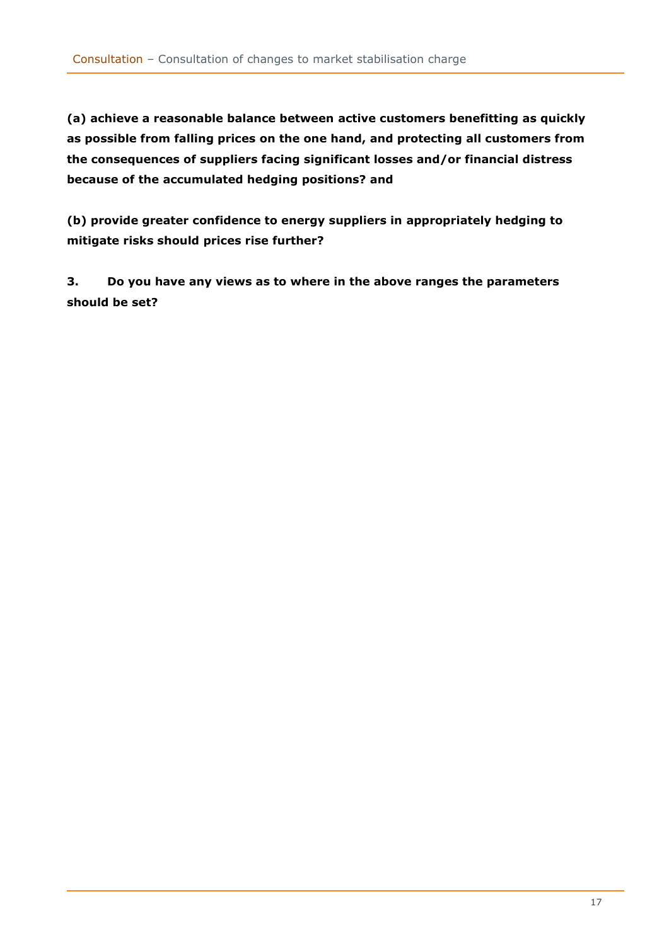**(a) achieve a reasonable balance between active customers benefitting as quickly as possible from falling prices on the one hand, and protecting all customers from the consequences of suppliers facing significant losses and/or financial distress because of the accumulated hedging positions? and** 

**(b) provide greater confidence to energy suppliers in appropriately hedging to mitigate risks should prices rise further?**

**3. Do you have any views as to where in the above ranges the parameters should be set?**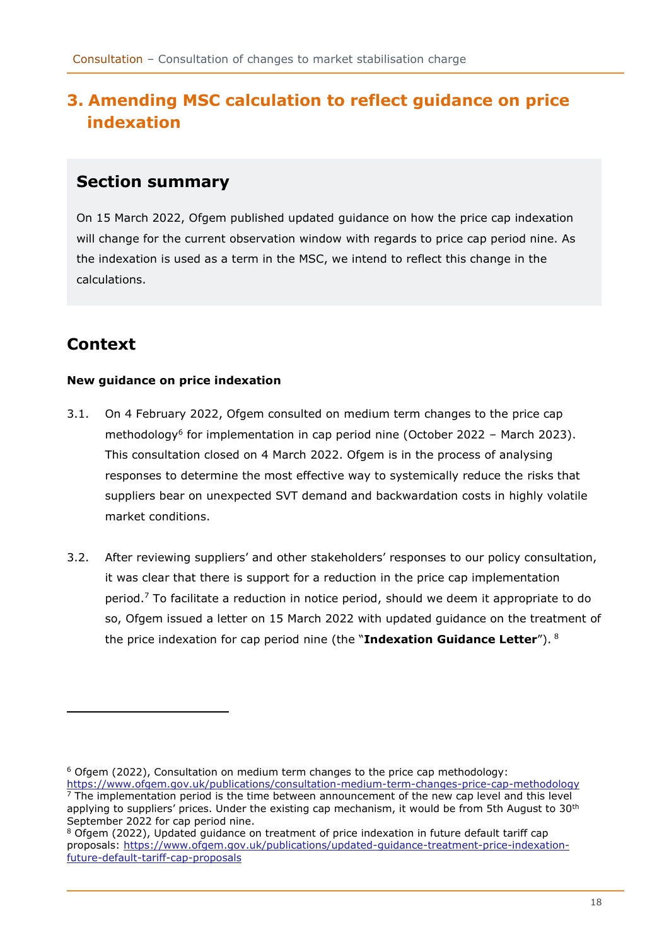# <span id="page-17-0"></span>**3. Amending MSC calculation to reflect guidance on price indexation**

## <span id="page-17-1"></span>**Section summary**

On 15 March 2022, Ofgem published updated guidance on how the price cap indexation will change for the current observation window with regards to price cap period nine. As the indexation is used as a term in the MSC, we intend to reflect this change in the calculations.

# <span id="page-17-2"></span>**Context**

## **New guidance on price indexation**

- 3.1. On 4 February 2022, Ofgem consulted on medium term changes to the price cap methodology<sup>6</sup> for implementation in cap period nine (October 2022 - March 2023). This consultation closed on 4 March 2022. Ofgem is in the process of analysing responses to determine the most effective way to systemically reduce the risks that suppliers bear on unexpected SVT demand and backwardation costs in highly volatile market conditions.
- 3.2. After reviewing suppliers' and other stakeholders' responses to our policy consultation, it was clear that there is support for a reduction in the price cap implementation period.<sup>7</sup> To facilitate a reduction in notice period, should we deem it appropriate to do so, Ofgem issued a letter on 15 March 2022 with updated guidance on the treatment of the price indexation for cap period nine (the "**Indexation Guidance Letter**"). <sup>8</sup>

 $6$  Ofgem (2022), Consultation on medium term changes to the price cap methodology:

<https://www.ofgem.gov.uk/publications/consultation-medium-term-changes-price-cap-methodology>  $<sup>7</sup>$  The implementation period is the time between announcement of the new cap level and this level</sup> applying to suppliers' prices. Under the existing cap mechanism, it would be from 5th August to 30<sup>th</sup> September 2022 for cap period nine.

<sup>8</sup> Ofgem (2022), Updated guidance on treatment of price indexation in future default tariff cap proposals: [https://www.ofgem.gov.uk/publications/updated-guidance-treatment-price-indexation](https://www.ofgem.gov.uk/publications/updated-guidance-treatment-price-indexation-future-default-tariff-cap-proposals)[future-default-tariff-cap-proposals](https://www.ofgem.gov.uk/publications/updated-guidance-treatment-price-indexation-future-default-tariff-cap-proposals)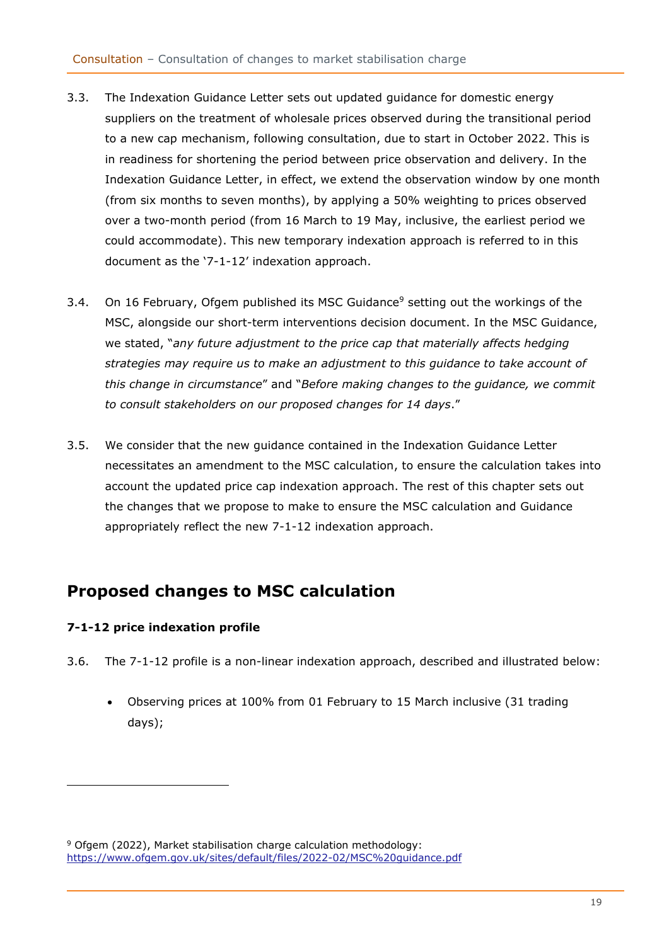- 3.3. The Indexation Guidance Letter sets out updated guidance for domestic energy suppliers on the treatment of wholesale prices observed during the transitional period to a new cap mechanism, following consultation, due to start in October 2022. This is in readiness for shortening the period between price observation and delivery. In the Indexation Guidance Letter, in effect, we extend the observation window by one month (from six months to seven months), by applying a 50% weighting to prices observed over a two-month period (from 16 March to 19 May, inclusive, the earliest period we could accommodate). This new temporary indexation approach is referred to in this document as the '7-1-12' indexation approach.
- 3.4. On 16 February, Ofgem published its MSC Guidance<sup>9</sup> setting out the workings of the MSC, alongside our short-term interventions decision document. In the MSC Guidance, we stated, "*any future adjustment to the price cap that materially affects hedging strategies may require us to make an adjustment to this guidance to take account of this change in circumstance*" and "*Before making changes to the guidance, we commit to consult stakeholders on our proposed changes for 14 days*."
- 3.5. We consider that the new guidance contained in the Indexation Guidance Letter necessitates an amendment to the MSC calculation, to ensure the calculation takes into account the updated price cap indexation approach. The rest of this chapter sets out the changes that we propose to make to ensure the MSC calculation and Guidance appropriately reflect the new 7-1-12 indexation approach.

## <span id="page-18-0"></span>**Proposed changes to MSC calculation**

## **7-1-12 price indexation profile**

- 3.6. The 7-1-12 profile is a non-linear indexation approach, described and illustrated below:
	- Observing prices at 100% from 01 February to 15 March inclusive (31 trading days);

<sup>&</sup>lt;sup>9</sup> Ofgem (2022), Market stabilisation charge calculation methodology: <https://www.ofgem.gov.uk/sites/default/files/2022-02/MSC%20guidance.pdf>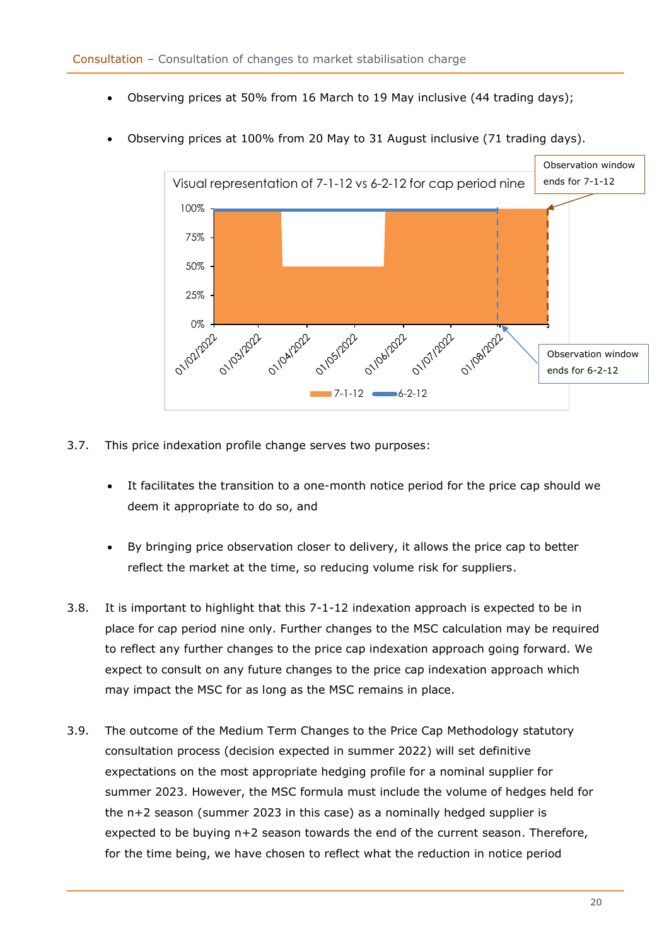- Observing prices at 50% from 16 March to 19 May inclusive (44 trading days);
- Observing prices at 100% from 20 May to 31 August inclusive (71 trading days).



- 3.7. This price indexation profile change serves two purposes:
	- It facilitates the transition to a one-month notice period for the price cap should we deem it appropriate to do so, and
	- By bringing price observation closer to delivery, it allows the price cap to better reflect the market at the time, so reducing volume risk for suppliers.
- 3.8. It is important to highlight that this 7-1-12 indexation approach is expected to be in place for cap period nine only. Further changes to the MSC calculation may be required to reflect any further changes to the price cap indexation approach going forward. We expect to consult on any future changes to the price cap indexation approach which may impact the MSC for as long as the MSC remains in place.
- 3.9. The outcome of the Medium Term Changes to the Price Cap Methodology statutory consultation process (decision expected in summer 2022) will set definitive expectations on the most appropriate hedging profile for a nominal supplier for summer 2023. However, the MSC formula must include the volume of hedges held for the n+2 season (summer 2023 in this case) as a nominally hedged supplier is expected to be buying  $n+2$  season towards the end of the current season. Therefore, for the time being, we have chosen to reflect what the reduction in notice period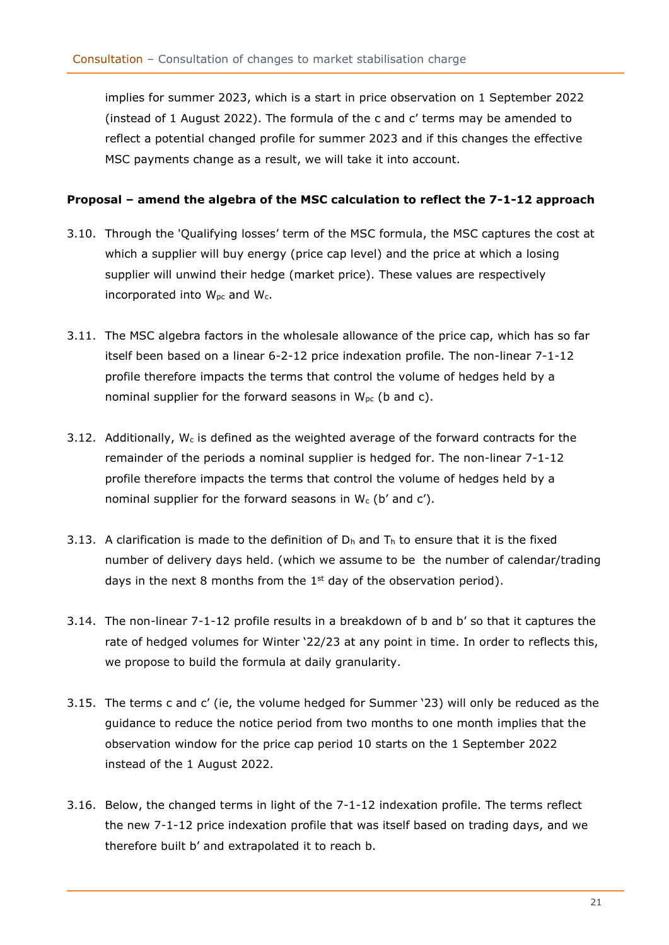implies for summer 2023, which is a start in price observation on 1 September 2022 (instead of 1 August 2022). The formula of the c and c' terms may be amended to reflect a potential changed profile for summer 2023 and if this changes the effective MSC payments change as a result, we will take it into account.

## **Proposal – amend the algebra of the MSC calculation to reflect the 7-1-12 approach**

- 3.10. Through the 'Qualifying losses' term of the MSC formula, the MSC captures the cost at which a supplier will buy energy (price cap level) and the price at which a losing supplier will unwind their hedge (market price). These values are respectively incorporated into  $W_{\text{pc}}$  and  $W_{\text{c}}$ .
- 3.11. The MSC algebra factors in the wholesale allowance of the price cap, which has so far itself been based on a linear 6-2-12 price indexation profile. The non-linear 7-1-12 profile therefore impacts the terms that control the volume of hedges held by a nominal supplier for the forward seasons in  $W_{pc}$  (b and c).
- 3.12. Additionally,  $W_c$  is defined as the weighted average of the forward contracts for the remainder of the periods a nominal supplier is hedged for. The non-linear 7-1-12 profile therefore impacts the terms that control the volume of hedges held by a nominal supplier for the forward seasons in  $W_c$  (b' and c').
- 3.13. A clarification is made to the definition of  $D_h$  and  $T_h$  to ensure that it is the fixed number of delivery days held. (which we assume to be the number of calendar/trading days in the next 8 months from the  $1<sup>st</sup>$  day of the observation period).
- 3.14. The non-linear 7-1-12 profile results in a breakdown of b and b' so that it captures the rate of hedged volumes for Winter '22/23 at any point in time. In order to reflects this, we propose to build the formula at daily granularity.
- 3.15. The terms c and c' (ie, the volume hedged for Summer '23) will only be reduced as the guidance to reduce the notice period from two months to one month implies that the observation window for the price cap period 10 starts on the 1 September 2022 instead of the 1 August 2022.
- 3.16. Below, the changed terms in light of the 7-1-12 indexation profile. The terms reflect the new 7-1-12 price indexation profile that was itself based on trading days, and we therefore built b' and extrapolated it to reach b.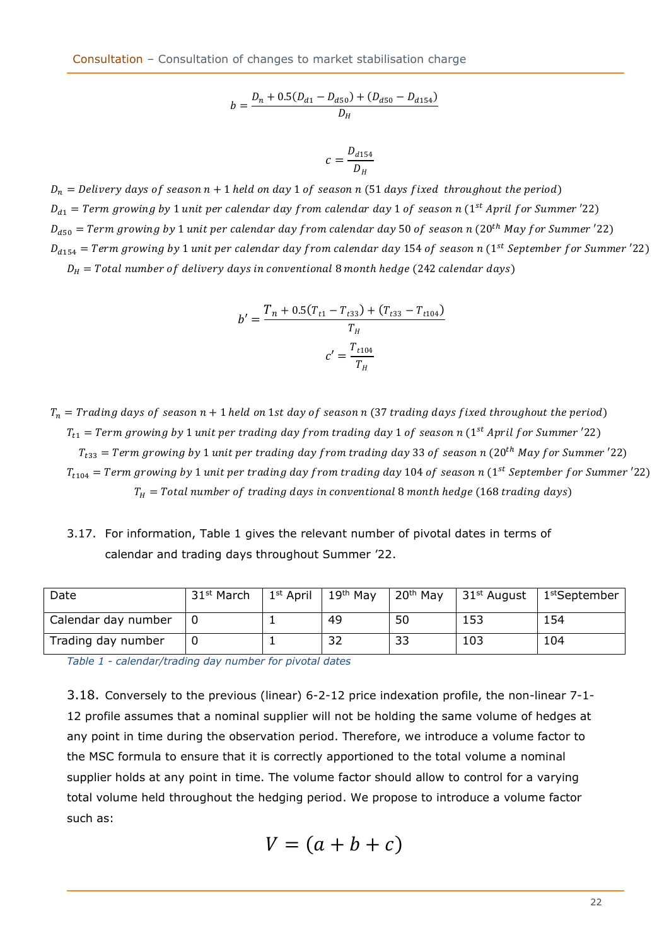Consultation – Consultation of changes to market stabilisation charge

$$
b = \frac{D_n + 0.5(D_{d1} - D_{d50}) + (D_{d50} - D_{d154})}{D_H}
$$

$$
c = \frac{D_{d154}}{D_H}
$$

 $D_n$  = Delivery days of season  $n + 1$  held on day 1 of season n (51 days fixed throughout the period)  $D_{d1}$  = Term growing by 1 unit per calendar day from calendar day 1 of season n (1 $^{\rm st}$  April for Summer '22)  $D_{d50}$  = Term growing by 1 unit per calendar day from calendar day 50 of season n (20<sup>th</sup> May for Summer '22)  $D_{d154} = Term$  growing by 1 unit per calendar day from calendar day 154 of season  $n$  (1 $^{\rm st}$  September for Summer '22)

 $D_H$  = Total number of delivery days in conventional 8 month hedge (242 calendar days)

$$
b' = \frac{T_n + 0.5(T_{t1} - T_{t33}) + (T_{t33} - T_{t104})}{T_H}
$$

$$
c' = \frac{T_{t104}}{T_H}
$$

 $T_n$  = Trading days of season  $n + 1$  held on 1st day of season n (37 trading days fixed throughout the period)  $T_{t1} = Term$  growing by  $1$  unit per trading day from trading day  $1$  of season  $n$  ( $1^{st}$  April for Summer  $^{\prime}$ 22)  $T_{t33}$  = Term growing by 1 unit per trading day from trading day 33 of season n (20<sup>th</sup> May for Summer '22)  $T_{t104} = Term$  growing by 1 unit per trading day from trading day 104 of season n (1 $^{st}$  September for Summer  $^{\prime}$ 22)  $T_H$  = Total number of trading days in conventional 8 month hedge (168 trading days)

3.17. For information, [Table 1](#page-21-0) gives the relevant number of pivotal dates in terms of calendar and trading days throughout Summer '22.

| Date                | 31 <sup>st</sup> March | $1^{\rm st}$ April | 19 <sup>th</sup> May | 20 <sup>th</sup> May | 31st August $\parallel$ | 1 <sup>st</sup> September |
|---------------------|------------------------|--------------------|----------------------|----------------------|-------------------------|---------------------------|
| Calendar day number |                        |                    | 49                   | 50                   | 153                     | 154                       |
| Trading day number  |                        |                    | 32                   | 33                   | 103                     | 104                       |

<span id="page-21-0"></span>*Table 1 - calendar/trading day number for pivotal dates*

3.18. Conversely to the previous (linear) 6-2-12 price indexation profile, the non-linear 7-1- 12 profile assumes that a nominal supplier will not be holding the same volume of hedges at any point in time during the observation period. Therefore, we introduce a volume factor to the MSC formula to ensure that it is correctly apportioned to the total volume a nominal supplier holds at any point in time. The volume factor should allow to control for a varying total volume held throughout the hedging period. We propose to introduce a volume factor such as:

$$
V=(a+b+c)
$$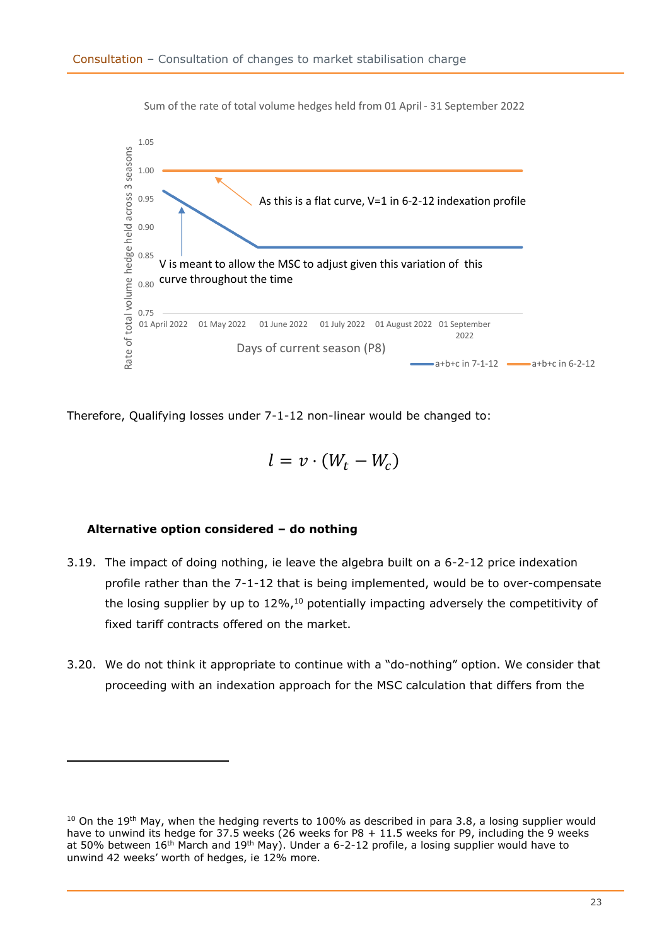

Sum of the rate of total volume hedges held from 01 April - 31 September 2022

Therefore, Qualifying losses under 7-1-12 non-linear would be changed to:

$$
l=v\cdot(W_t-W_c)
$$

## **Alternative option considered – do nothing**

- 3.19. The impact of doing nothing, ie leave the algebra built on a 6-2-12 price indexation profile rather than the 7-1-12 that is being implemented, would be to over-compensate the losing supplier by up to  $12\%$ ,<sup>10</sup> potentially impacting adversely the competitivity of fixed tariff contracts offered on the market.
- 3.20. We do not think it appropriate to continue with a "do-nothing" option. We consider that proceeding with an indexation approach for the MSC calculation that differs from the

 $10$  On the 19<sup>th</sup> May, when the hedging reverts to 100% as described in para 3.8, a losing supplier would have to unwind its hedge for 37.5 weeks (26 weeks for P8 + 11.5 weeks for P9, including the 9 weeks at 50% between 16<sup>th</sup> March and 19<sup>th</sup> May). Under a 6-2-12 profile, a losing supplier would have to unwind 42 weeks' worth of hedges, ie 12% more.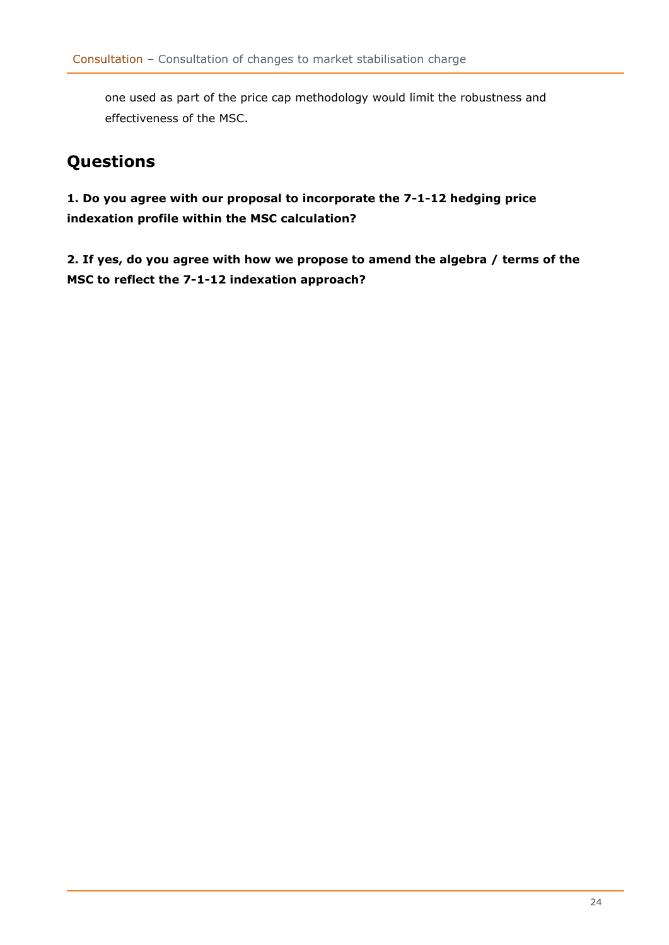one used as part of the price cap methodology would limit the robustness and effectiveness of the MSC.

# <span id="page-23-0"></span>**Questions**

**1. Do you agree with our proposal to incorporate the 7-1-12 hedging price indexation profile within the MSC calculation?** 

**2. If yes, do you agree with how we propose to amend the algebra / terms of the MSC to reflect the 7-1-12 indexation approach?**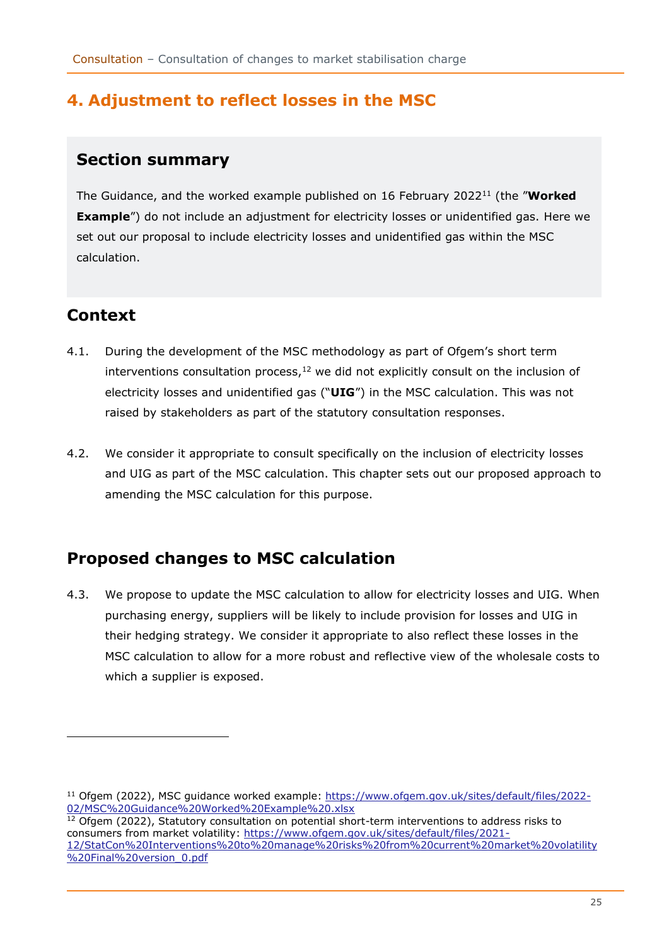## <span id="page-24-0"></span>**4. Adjustment to reflect losses in the MSC**

## <span id="page-24-1"></span>**Section summary**

The Guidance, and the worked example published on 16 February 2022<sup>11</sup> (the "**Worked Example**") do not include an adjustment for electricity losses or unidentified gas. Here we set out our proposal to include electricity losses and unidentified gas within the MSC calculation.

# <span id="page-24-2"></span>**Context**

- 4.1. During the development of the MSC methodology as part of Ofgem's short term interventions consultation process, $12$  we did not explicitly consult on the inclusion of electricity losses and unidentified gas ("**UIG**") in the MSC calculation. This was not raised by stakeholders as part of the statutory consultation responses.
- 4.2. We consider it appropriate to consult specifically on the inclusion of electricity losses and UIG as part of the MSC calculation. This chapter sets out our proposed approach to amending the MSC calculation for this purpose.

# <span id="page-24-3"></span>**Proposed changes to MSC calculation**

4.3. We propose to update the MSC calculation to allow for electricity losses and UIG. When purchasing energy, suppliers will be likely to include provision for losses and UIG in their hedging strategy. We consider it appropriate to also reflect these losses in the MSC calculation to allow for a more robust and reflective view of the wholesale costs to which a supplier is exposed.

<sup>11</sup> Ofgem (2022), MSC guidance worked example: [https://www.ofgem.gov.uk/sites/default/files/2022-](https://www.ofgem.gov.uk/sites/default/files/2022-02/MSC%20Guidance%20Worked%20Example%20.xlsx) [02/MSC%20Guidance%20Worked%20Example%20.xlsx](https://www.ofgem.gov.uk/sites/default/files/2022-02/MSC%20Guidance%20Worked%20Example%20.xlsx)

<sup>&</sup>lt;sup>12</sup> Ofgem (2022), Statutory consultation on potential short-term interventions to address risks to consumers from market volatility: [https://www.ofgem.gov.uk/sites/default/files/2021-](https://www.ofgem.gov.uk/sites/default/files/2021-12/StatCon%20Interventions%20to%20manage%20risks%20from%20current%20market%20volatility%20Final%20version_0.pdf) [12/StatCon%20Interventions%20to%20manage%20risks%20from%20current%20market%20volatility](https://www.ofgem.gov.uk/sites/default/files/2021-12/StatCon%20Interventions%20to%20manage%20risks%20from%20current%20market%20volatility%20Final%20version_0.pdf) [%20Final%20version\\_0.pdf](https://www.ofgem.gov.uk/sites/default/files/2021-12/StatCon%20Interventions%20to%20manage%20risks%20from%20current%20market%20volatility%20Final%20version_0.pdf)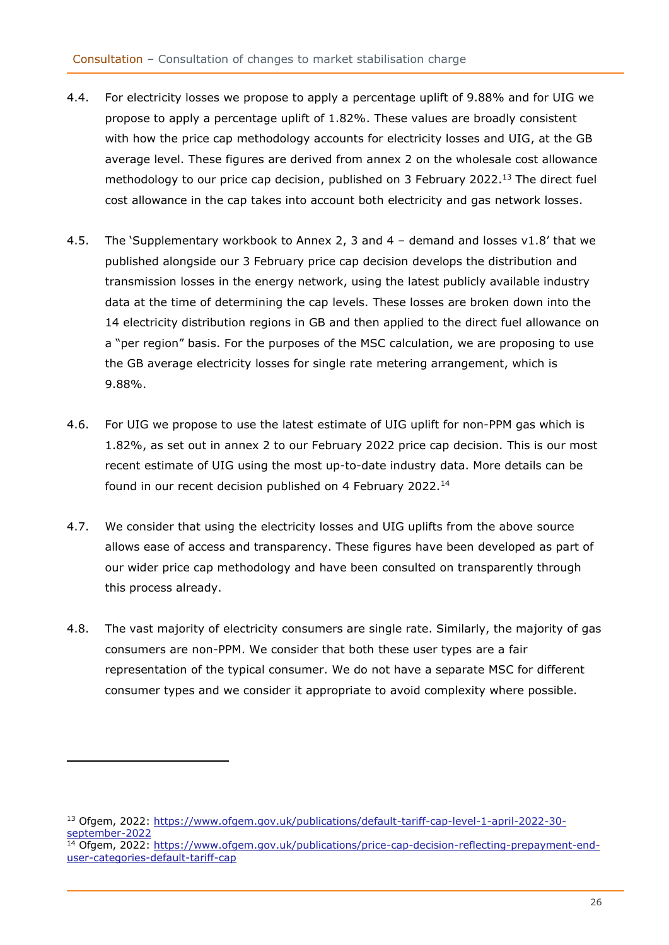- 4.4. For electricity losses we propose to apply a percentage uplift of 9.88% and for UIG we propose to apply a percentage uplift of 1.82%. These values are broadly consistent with how the price cap methodology accounts for electricity losses and UIG, at the GB average level. These figures are derived from annex 2 on the wholesale cost allowance methodology to our price cap decision, published on 3 February 2022.<sup>13</sup> The direct fuel cost allowance in the cap takes into account both electricity and gas network losses.
- 4.5. The 'Supplementary workbook to Annex 2, 3 and 4 demand and losses v1.8' that we published alongside our 3 February price cap decision develops the distribution and transmission losses in the energy network, using the latest publicly available industry data at the time of determining the cap levels. These losses are broken down into the 14 electricity distribution regions in GB and then applied to the direct fuel allowance on a "per region" basis. For the purposes of the MSC calculation, we are proposing to use the GB average electricity losses for single rate metering arrangement, which is 9.88%.
- 4.6. For UIG we propose to use the latest estimate of UIG uplift for non-PPM gas which is 1.82%, as set out in annex 2 to our February 2022 price cap decision. This is our most recent estimate of UIG using the most up-to-date industry data. More details can be found in our recent decision published on 4 February 2022.<sup>14</sup>
- 4.7. We consider that using the electricity losses and UIG uplifts from the above source allows ease of access and transparency. These figures have been developed as part of our wider price cap methodology and have been consulted on transparently through this process already.
- 4.8. The vast majority of electricity consumers are single rate. Similarly, the majority of gas consumers are non-PPM. We consider that both these user types are a fair representation of the typical consumer. We do not have a separate MSC for different consumer types and we consider it appropriate to avoid complexity where possible.

<sup>13</sup> Ofgem, 2022: [https://www.ofgem.gov.uk/publications/default-tariff-cap-level-1-april-2022-30](https://www.ofgem.gov.uk/publications/default-tariff-cap-level-1-april-2022-30-september-2022) [september-2022](https://www.ofgem.gov.uk/publications/default-tariff-cap-level-1-april-2022-30-september-2022)

<sup>&</sup>lt;sup>14</sup> Ofgem, 2022: [https://www.ofgem.gov.uk/publications/price-cap-decision-reflecting-prepayment-end](https://www.ofgem.gov.uk/publications/price-cap-decision-reflecting-prepayment-end-user-categories-default-tariff-cap)[user-categories-default-tariff-cap](https://www.ofgem.gov.uk/publications/price-cap-decision-reflecting-prepayment-end-user-categories-default-tariff-cap)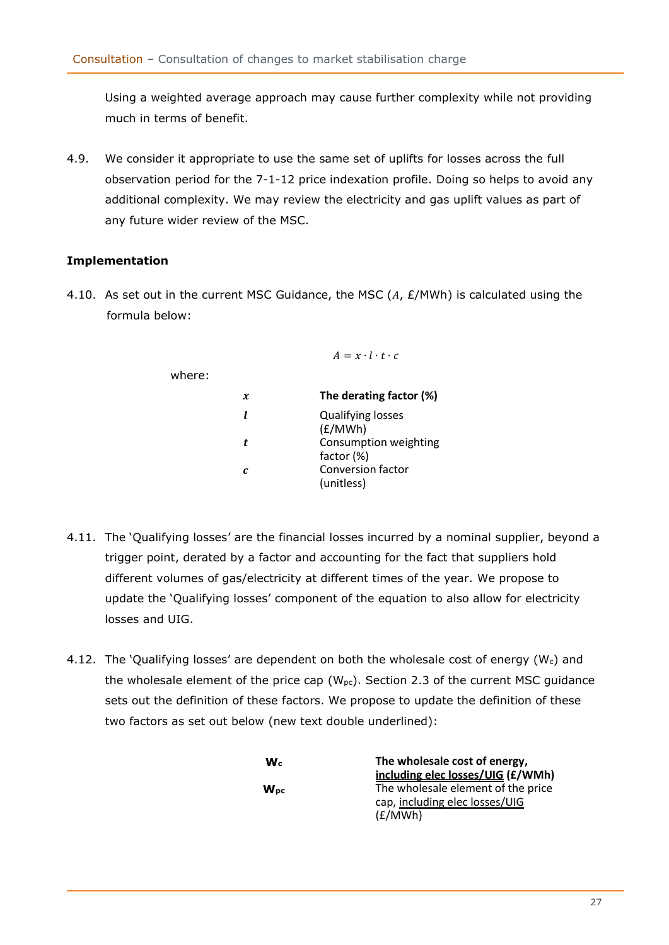Using a weighted average approach may cause further complexity while not providing much in terms of benefit.

4.9. We consider it appropriate to use the same set of uplifts for losses across the full observation period for the 7-1-12 price indexation profile. Doing so helps to avoid any additional complexity. We may review the electricity and gas uplift values as part of any future wider review of the MSC.

## **Implementation**

4.10. As set out in the current MSC Guidance, the MSC  $(A, E/MWh)$  is calculated using the formula below:

 $\Delta = r \cdot l \cdot t \cdot c$ 

| The derating factor (%)                |
|----------------------------------------|
| <b>Qualifying losses</b><br>(E/MWh)    |
| Consumption weighting<br>factor (%)    |
| <b>Conversion factor</b><br>(unitless) |
|                                        |

- 4.11. The 'Qualifying losses' are the financial losses incurred by a nominal supplier, beyond a trigger point, derated by a factor and accounting for the fact that suppliers hold different volumes of gas/electricity at different times of the year. We propose to update the 'Qualifying losses' component of the equation to also allow for electricity losses and UIG.
- 4.12. The 'Qualifying losses' are dependent on both the wholesale cost of energy (Wc) and the wholesale element of the price cap ( $W_{pc}$ ). Section 2.3 of the current MSC guidance sets out the definition of these factors. We propose to update the definition of these two factors as set out below (new text double underlined):

| $\mathbf{W}$ <sub>c</sub> | The wholesale cost of energy,      |
|---------------------------|------------------------------------|
|                           | including elec losses/UIG (£/WMh)  |
| $W_{DC}$                  | The wholesale element of the price |
|                           | cap, including elec losses/UIG     |
|                           | (E/MWh)                            |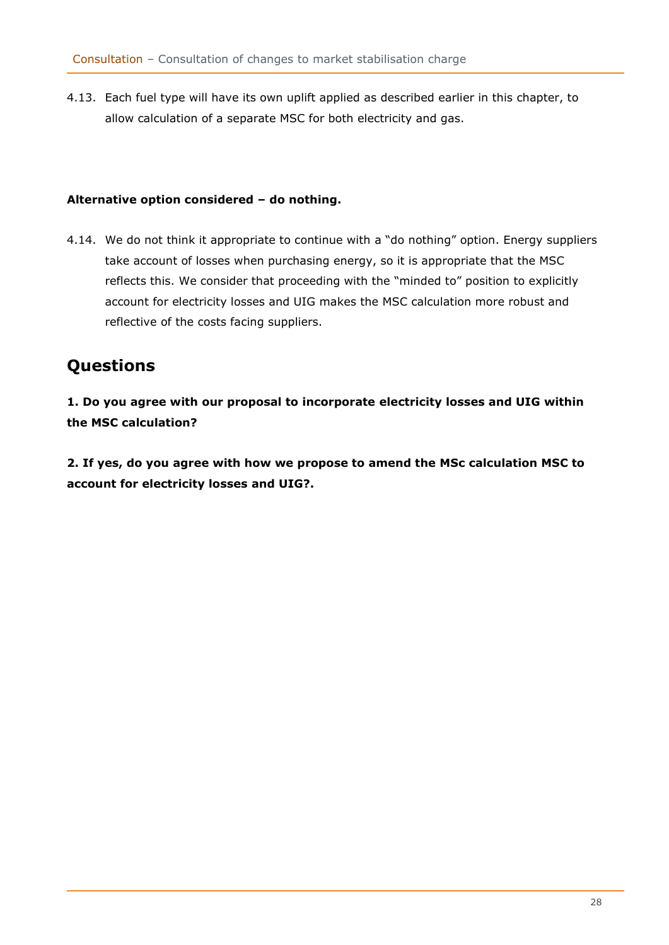4.13. Each fuel type will have its own uplift applied as described earlier in this chapter, to allow calculation of a separate MSC for both electricity and gas.

## **Alternative option considered – do nothing.**

4.14. We do not think it appropriate to continue with a "do nothing" option. Energy suppliers take account of losses when purchasing energy, so it is appropriate that the MSC reflects this. We consider that proceeding with the "minded to" position to explicitly account for electricity losses and UIG makes the MSC calculation more robust and reflective of the costs facing suppliers.

## <span id="page-27-0"></span>**Questions**

**1. Do you agree with our proposal to incorporate electricity losses and UIG within the MSC calculation?** 

**2. If yes, do you agree with how we propose to amend the MSc calculation MSC to account for electricity losses and UIG?.**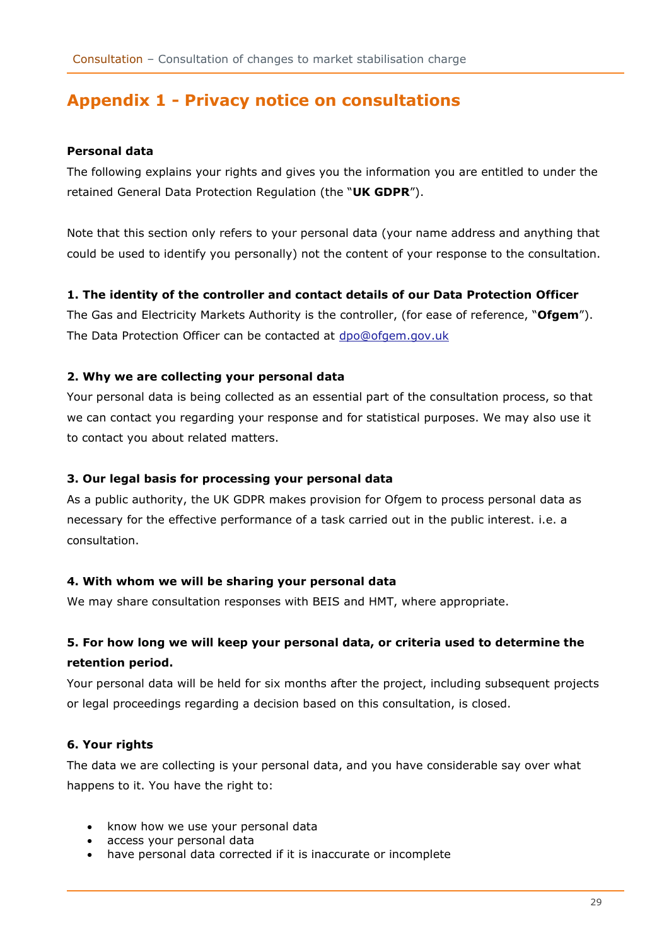## <span id="page-28-0"></span>**Appendix 1 - Privacy notice on consultations**

## **Personal data**

The following explains your rights and gives you the information you are entitled to under the retained General Data Protection Regulation (the "**UK GDPR**").

Note that this section only refers to your personal data (your name address and anything that could be used to identify you personally) not the content of your response to the consultation.

### **1. The identity of the controller and contact details of our Data Protection Officer**

The Gas and Electricity Markets Authority is the controller, (for ease of reference, "**Ofgem**"). The Data Protection Officer can be contacted at [dpo@ofgem.gov.uk](mailto:dpo@ofgem.gov.uk)

## **2. Why we are collecting your personal data**

Your personal data is being collected as an essential part of the consultation process, so that we can contact you regarding your response and for statistical purposes. We may also use it to contact you about related matters.

## **3. Our legal basis for processing your personal data**

As a public authority, the UK GDPR makes provision for Ofgem to process personal data as necessary for the effective performance of a task carried out in the public interest. i.e. a consultation.

## **4. With whom we will be sharing your personal data**

We may share consultation responses with BEIS and HMT, where appropriate.

## **5. For how long we will keep your personal data, or criteria used to determine the retention period.**

Your personal data will be held for six months after the project, including subsequent projects or legal proceedings regarding a decision based on this consultation, is closed.

## **6. Your rights**

The data we are collecting is your personal data, and you have considerable say over what happens to it. You have the right to:

- know how we use your personal data
- access your personal data
- have personal data corrected if it is inaccurate or incomplete